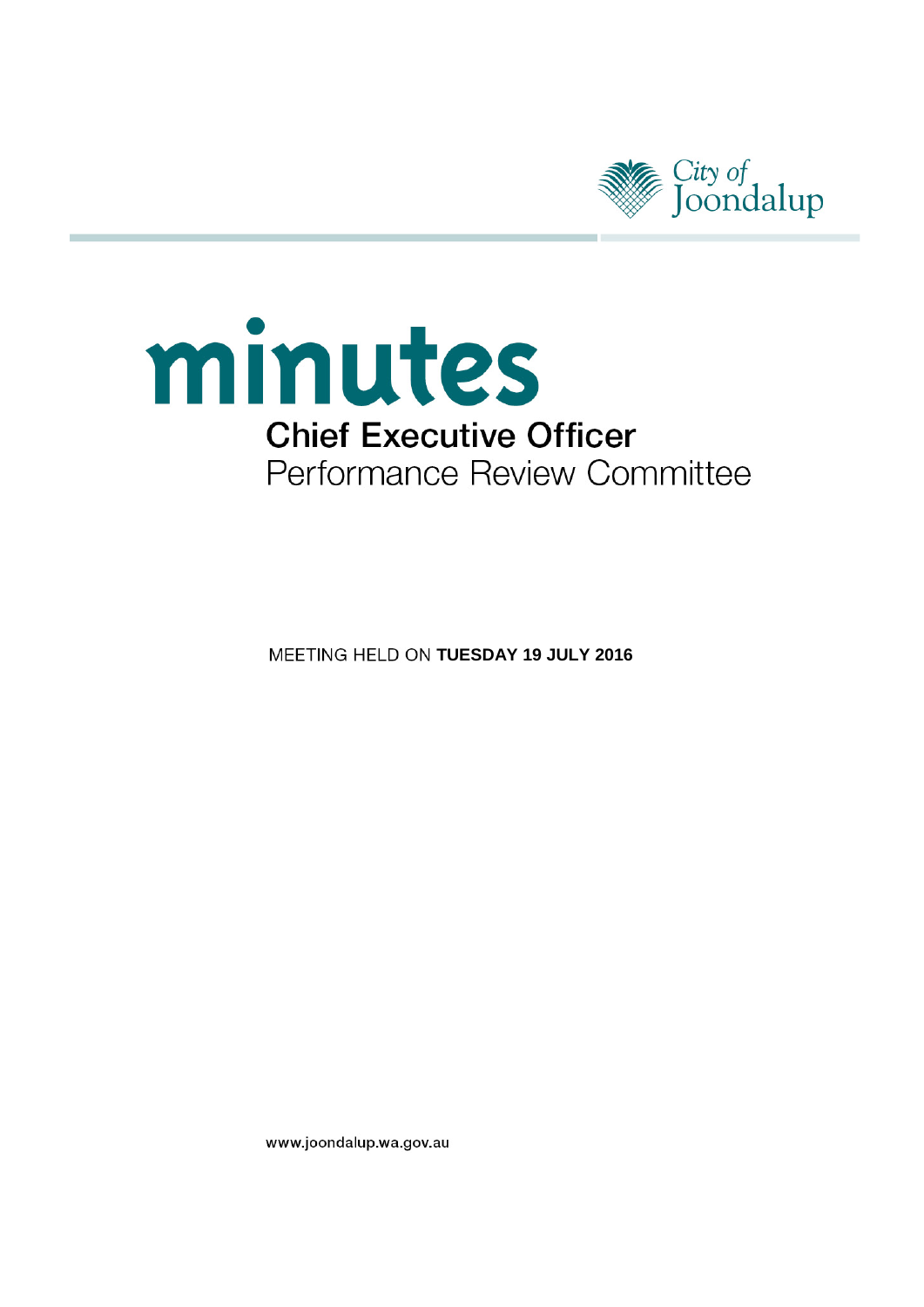

# minutes **Chief Executive Officer** Performance Review Committee

**MEETING HELD ON TUESDAY 19 JULY 2016** 

www.joondalup.wa.gov.au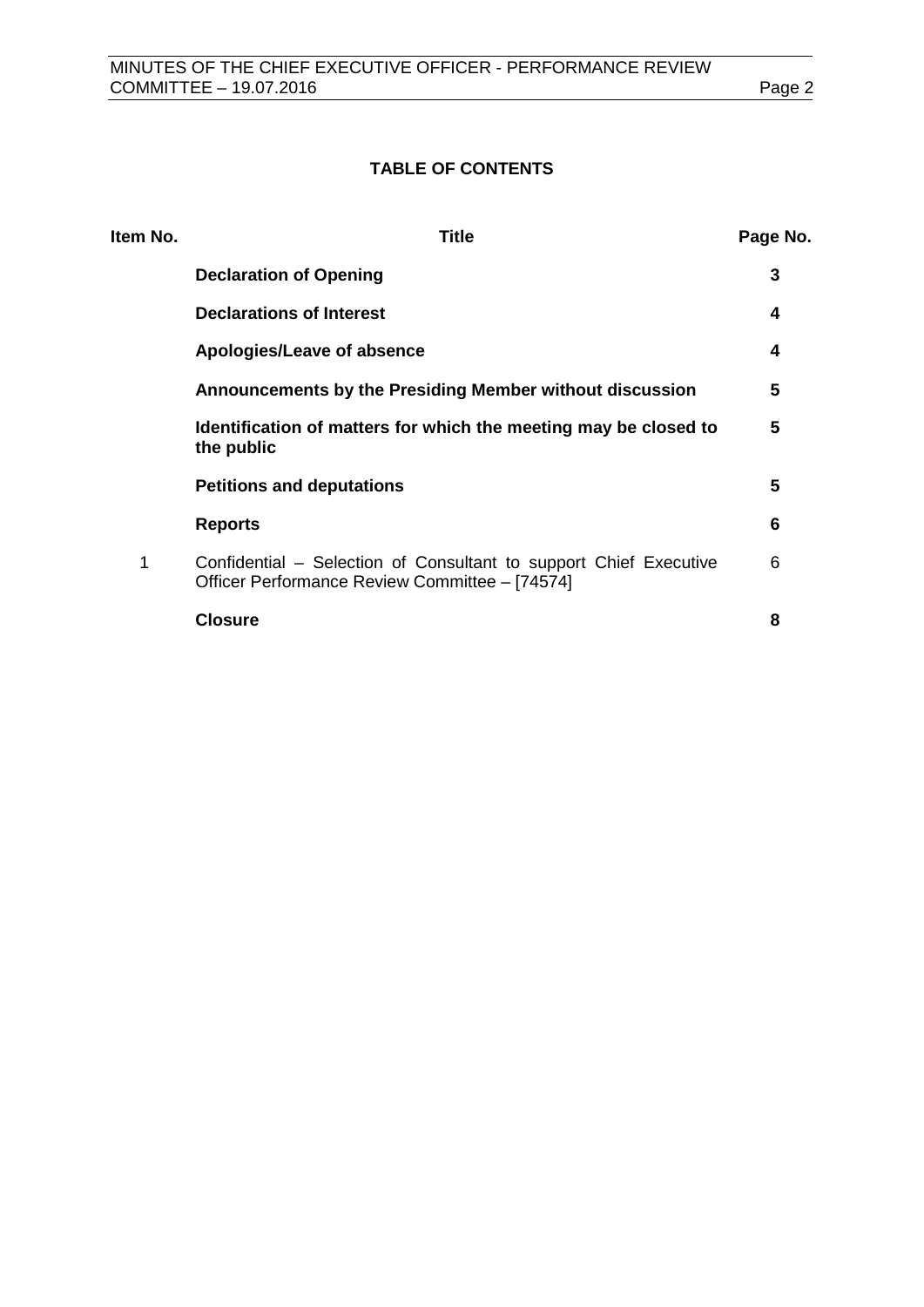# **TABLE OF CONTENTS**

| Item No. | <b>Title</b>                                                                                                        | Page No. |
|----------|---------------------------------------------------------------------------------------------------------------------|----------|
|          | <b>Declaration of Opening</b>                                                                                       | 3        |
|          | <b>Declarations of Interest</b>                                                                                     | 4        |
|          | Apologies/Leave of absence                                                                                          | 4        |
|          | Announcements by the Presiding Member without discussion                                                            | 5        |
|          | Identification of matters for which the meeting may be closed to<br>the public                                      | 5        |
|          | <b>Petitions and deputations</b>                                                                                    | 5        |
|          | <b>Reports</b>                                                                                                      | 6        |
| 1        | Confidential – Selection of Consultant to support Chief Executive<br>Officer Performance Review Committee - [74574] | 6        |
|          | <b>Closure</b>                                                                                                      | 8        |
|          |                                                                                                                     |          |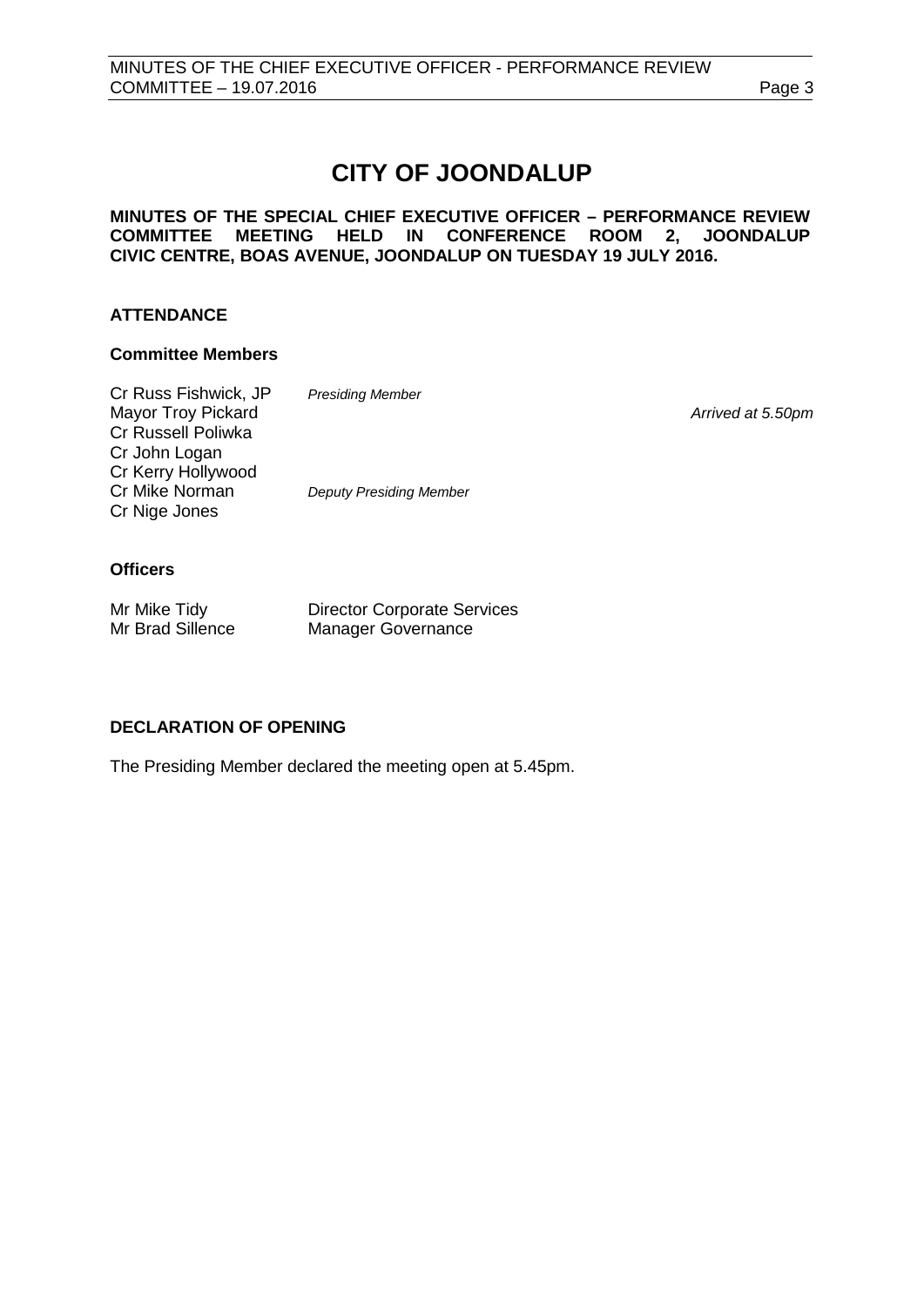# **CITY OF JOONDALUP**

**MINUTES OF THE SPECIAL CHIEF EXECUTIVE OFFICER – PERFORMANCE REVIEW COMMITTEE MEETING HELD IN CONFERENCE ROOM 2, JOONDALUP CIVIC CENTRE, BOAS AVENUE, JOONDALUP ON TUESDAY 19 JULY 2016.** 

# **ATTENDANCE**

# **Committee Members**

| Cr Russ Fishwick, JP | <b>Presiding Member</b>        |                   |
|----------------------|--------------------------------|-------------------|
| Mayor Troy Pickard   |                                | Arrived at 5.50pm |
| Cr Russell Poliwka   |                                |                   |
| Cr John Logan        |                                |                   |
| Cr Kerry Hollywood   |                                |                   |
| Cr Mike Norman       | <b>Deputy Presiding Member</b> |                   |
| Cr Nige Jones        |                                |                   |
|                      |                                |                   |
|                      |                                |                   |

# **Officers**

| Mr Mike Tidy     | <b>Director Corporate Services</b> |
|------------------|------------------------------------|
| Mr Brad Sillence | <b>Manager Governance</b>          |

# <span id="page-2-0"></span>**DECLARATION OF OPENING**

The Presiding Member declared the meeting open at 5.45pm.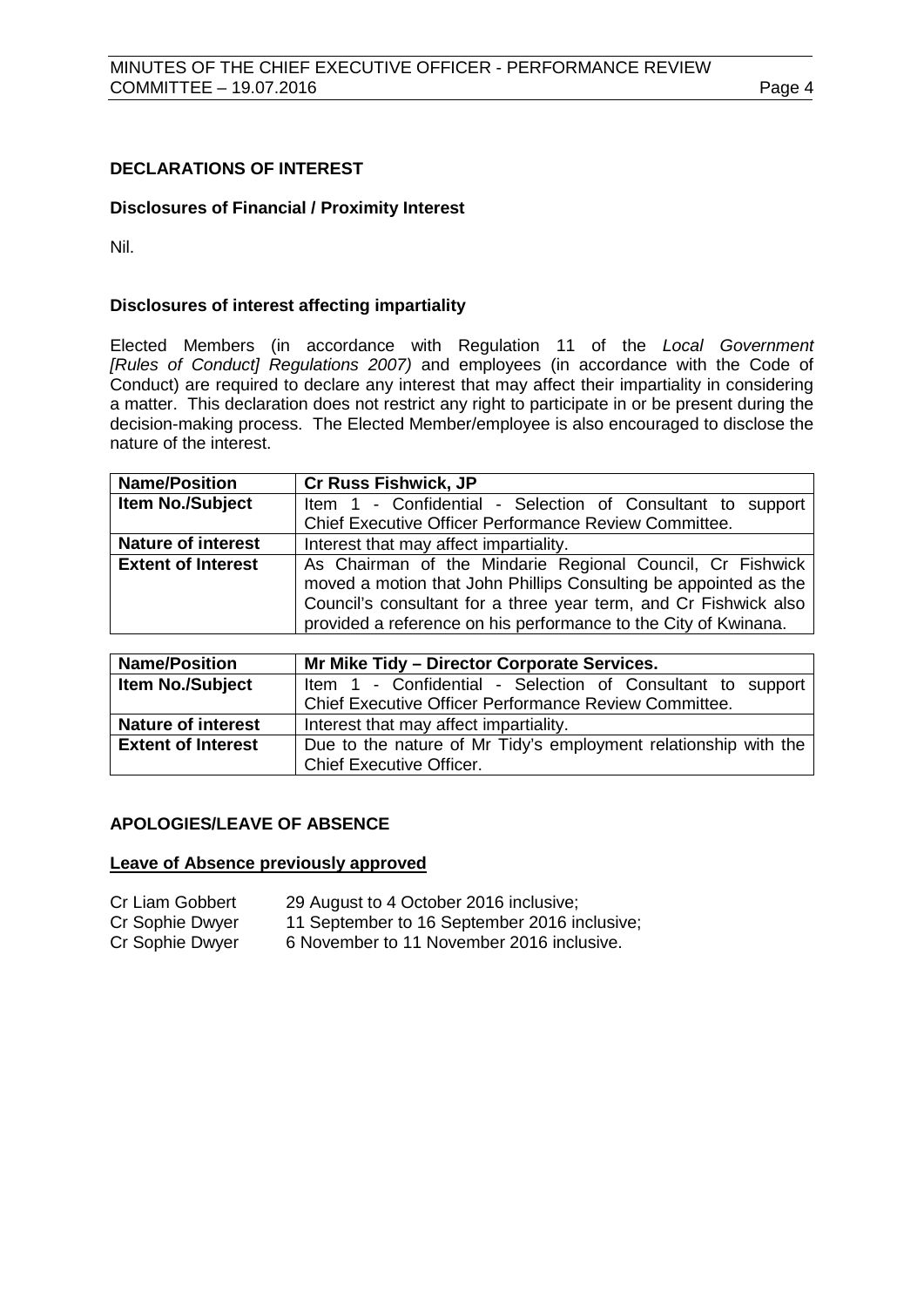# <span id="page-3-0"></span>**DECLARATIONS OF INTEREST**

# **Disclosures of Financial / Proximity Interest**

Nil.

# **Disclosures of interest affecting impartiality**

Elected Members (in accordance with Regulation 11 of the *Local Government [Rules of Conduct] Regulations 2007)* and employees (in accordance with the Code of Conduct) are required to declare any interest that may affect their impartiality in considering a matter. This declaration does not restrict any right to participate in or be present during the decision-making process. The Elected Member/employee is also encouraged to disclose the nature of the interest.

| <b>Name/Position</b>      | <b>Cr Russ Fishwick, JP</b>                                      |  |
|---------------------------|------------------------------------------------------------------|--|
| Item No./Subject          | Item 1 - Confidential - Selection of Consultant to support       |  |
|                           | Chief Executive Officer Performance Review Committee.            |  |
| <b>Nature of interest</b> | Interest that may affect impartiality.                           |  |
| <b>Extent of Interest</b> | As Chairman of the Mindarie Regional Council, Cr Fishwick        |  |
|                           | moved a motion that John Phillips Consulting be appointed as the |  |
|                           | Council's consultant for a three year term, and Cr Fishwick also |  |
|                           | provided a reference on his performance to the City of Kwinana.  |  |

| <b>Name/Position</b>      | Mr Mike Tidy - Director Corporate Services.                     |  |  |
|---------------------------|-----------------------------------------------------------------|--|--|
| <b>Item No./Subject</b>   | Item 1 - Confidential - Selection of Consultant to support      |  |  |
|                           | Chief Executive Officer Performance Review Committee.           |  |  |
| <b>Nature of interest</b> | Interest that may affect impartiality.                          |  |  |
| <b>Extent of Interest</b> | Due to the nature of Mr Tidy's employment relationship with the |  |  |
|                           | <b>Chief Executive Officer.</b>                                 |  |  |

# <span id="page-3-1"></span>**APOLOGIES/LEAVE OF ABSENCE**

#### **Leave of Absence previously approved**

| 29 August to 4 October 2016 inclusive; |
|----------------------------------------|
|                                        |

- Cr Sophie Dwyer 11 September to 16 September 2016 inclusive;<br>Cr Sophie Dwyer 6 November to 11 November 2016 inclusive.
	- 6 November to 11 November 2016 inclusive.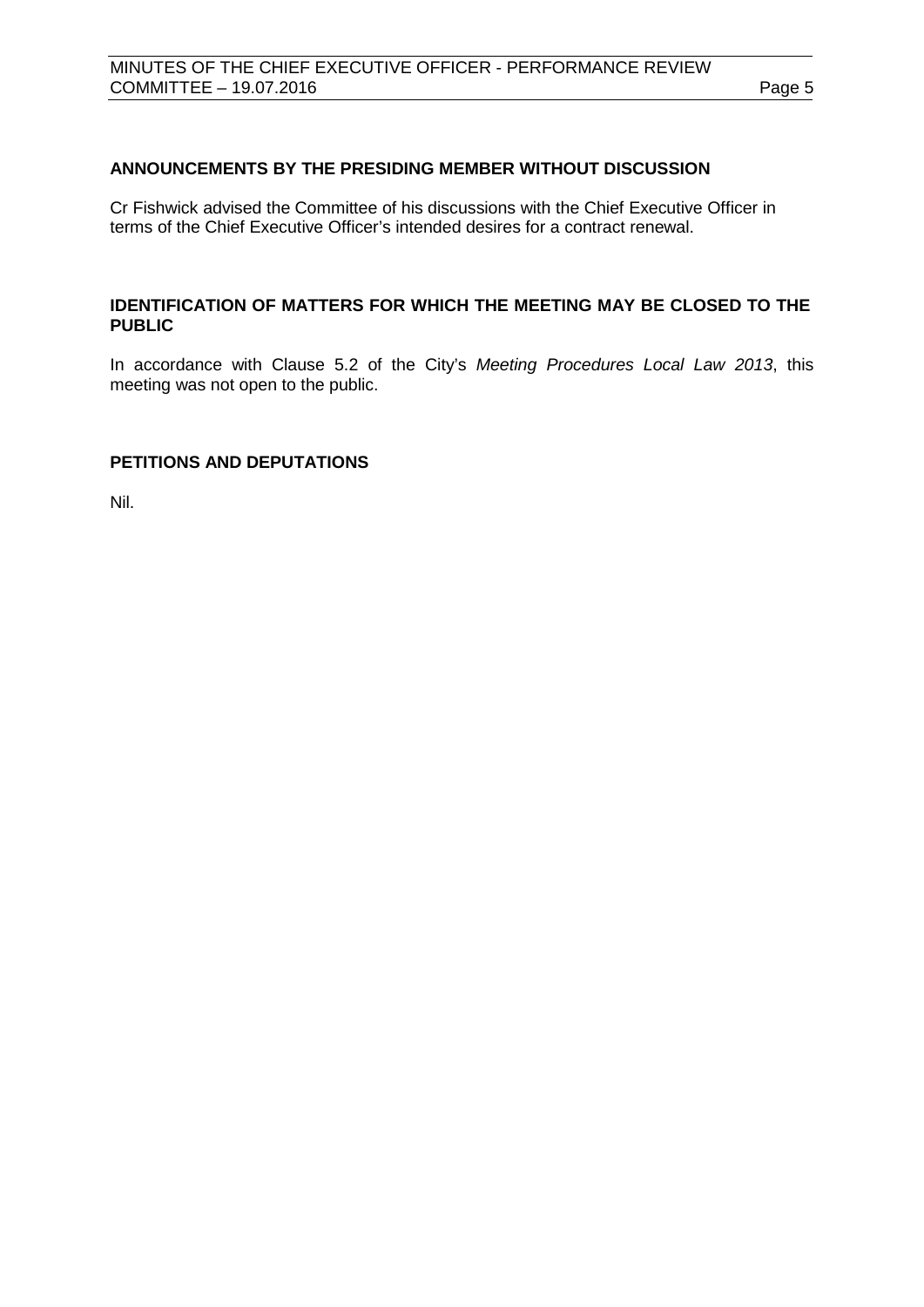# <span id="page-4-0"></span>**ANNOUNCEMENTS BY THE PRESIDING MEMBER WITHOUT DISCUSSION**

Cr Fishwick advised the Committee of his discussions with the Chief Executive Officer in terms of the Chief Executive Officer's intended desires for a contract renewal.

# <span id="page-4-1"></span>**IDENTIFICATION OF MATTERS FOR WHICH THE MEETING MAY BE CLOSED TO THE PUBLIC**

In accordance with Clause 5.2 of the City's *Meeting Procedures Local Law 2013*, this meeting was not open to the public.

# <span id="page-4-2"></span>**PETITIONS AND DEPUTATIONS**

Nil.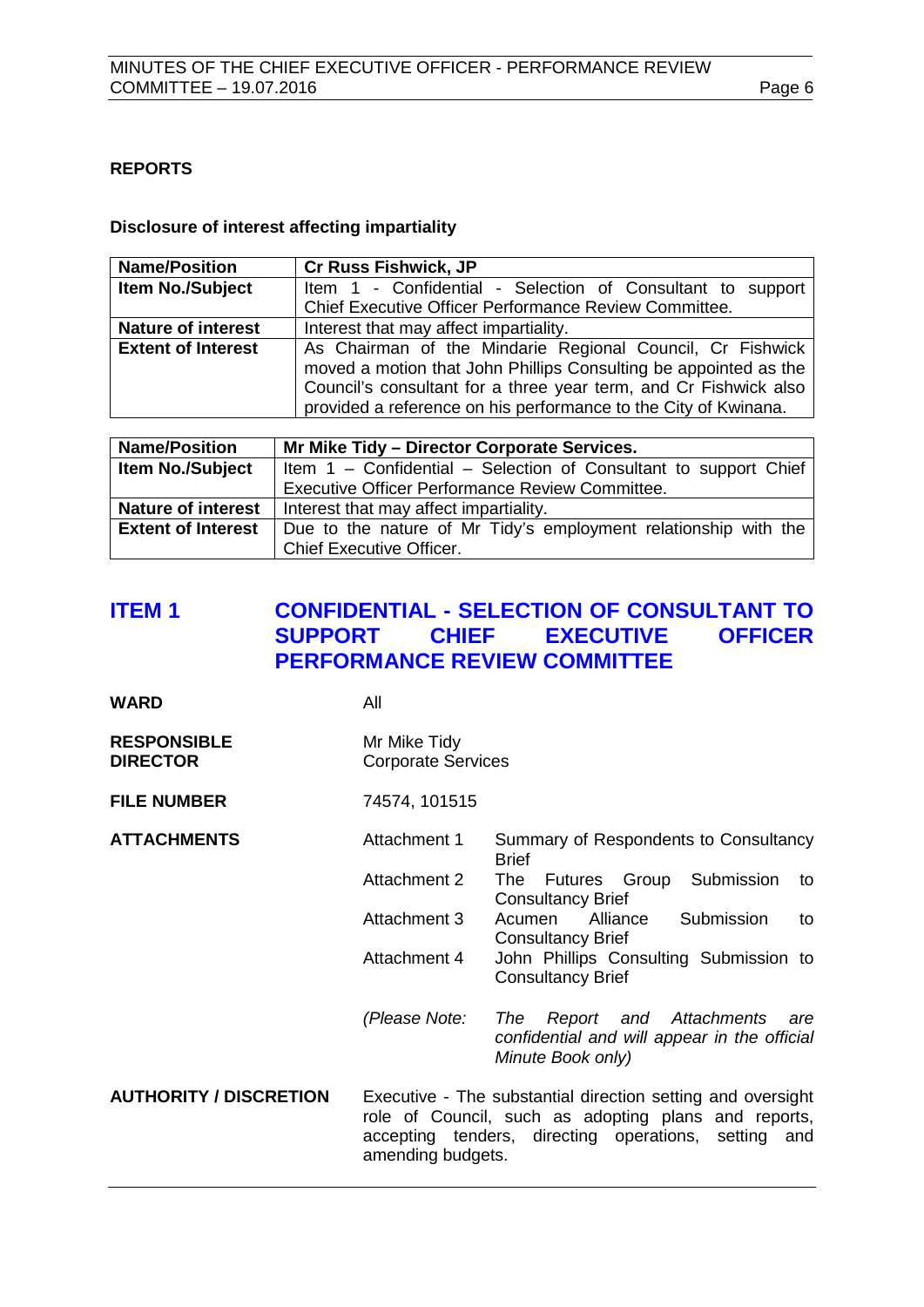# <span id="page-5-0"></span>**REPORTS**

#### **Disclosure of interest affecting impartiality**

| <b>Name/Position</b>      | <b>Cr Russ Fishwick, JP</b>                                                                                                                                                                                                                                          |
|---------------------------|----------------------------------------------------------------------------------------------------------------------------------------------------------------------------------------------------------------------------------------------------------------------|
| Item No./Subject          | Item 1 - Confidential - Selection of Consultant to support                                                                                                                                                                                                           |
|                           | Chief Executive Officer Performance Review Committee.                                                                                                                                                                                                                |
| <b>Nature of interest</b> | Interest that may affect impartiality.                                                                                                                                                                                                                               |
| <b>Extent of Interest</b> | As Chairman of the Mindarie Regional Council, Cr Fishwick<br>moved a motion that John Phillips Consulting be appointed as the<br>Council's consultant for a three year term, and Cr Fishwick also<br>provided a reference on his performance to the City of Kwinana. |

| <b>Name/Position</b>      | Mr Mike Tidy - Director Corporate Services.                      |  |  |
|---------------------------|------------------------------------------------------------------|--|--|
| Item No./Subject          | Item 1 - Confidential - Selection of Consultant to support Chief |  |  |
|                           | <b>Executive Officer Performance Review Committee.</b>           |  |  |
| <b>Nature of interest</b> | Interest that may affect impartiality.                           |  |  |
| <b>Extent of Interest</b> | Due to the nature of Mr Tidy's employment relationship with the  |  |  |
|                           | <b>Chief Executive Officer.</b>                                  |  |  |

# <span id="page-5-1"></span>**ITEM 1 CONFIDENTIAL - SELECTION OF CONSULTANT TO EXECUTIVE PERFORMANCE REVIEW COMMITTEE**

| WARD | All |
|------|-----|
|      |     |

| <b>RESPONSIBLE</b> | Mr Mike Tidy              |
|--------------------|---------------------------|
| <b>DIRECTOR</b>    | <b>Corporate Services</b> |

# **FILE NUMBER** 74574, 101515

**ATTACHMENTS** Attachment 1 Summary of Respondents to Consultancy

|              | <b>Brief</b>                           |    |
|--------------|----------------------------------------|----|
| Attachment 2 | The Futures Group Submission           | to |
|              | <b>Consultancy Brief</b>               |    |
| Attachment 3 | Submission<br>Acumen Alliance          | to |
|              | <b>Consultancy Brief</b>               |    |
| Attachment 4 | John Phillips Consulting Submission to |    |
|              | <b>Consultancy Brief</b>               |    |
|              |                                        |    |

*(Please Note: The Report and Attachments are confidential and will appear in the official Minute Book only)*

**AUTHORITY / DISCRETION** Executive - The substantial direction setting and oversight role of Council, such as adopting plans and reports, accepting tenders, directing operations, setting and amending budgets.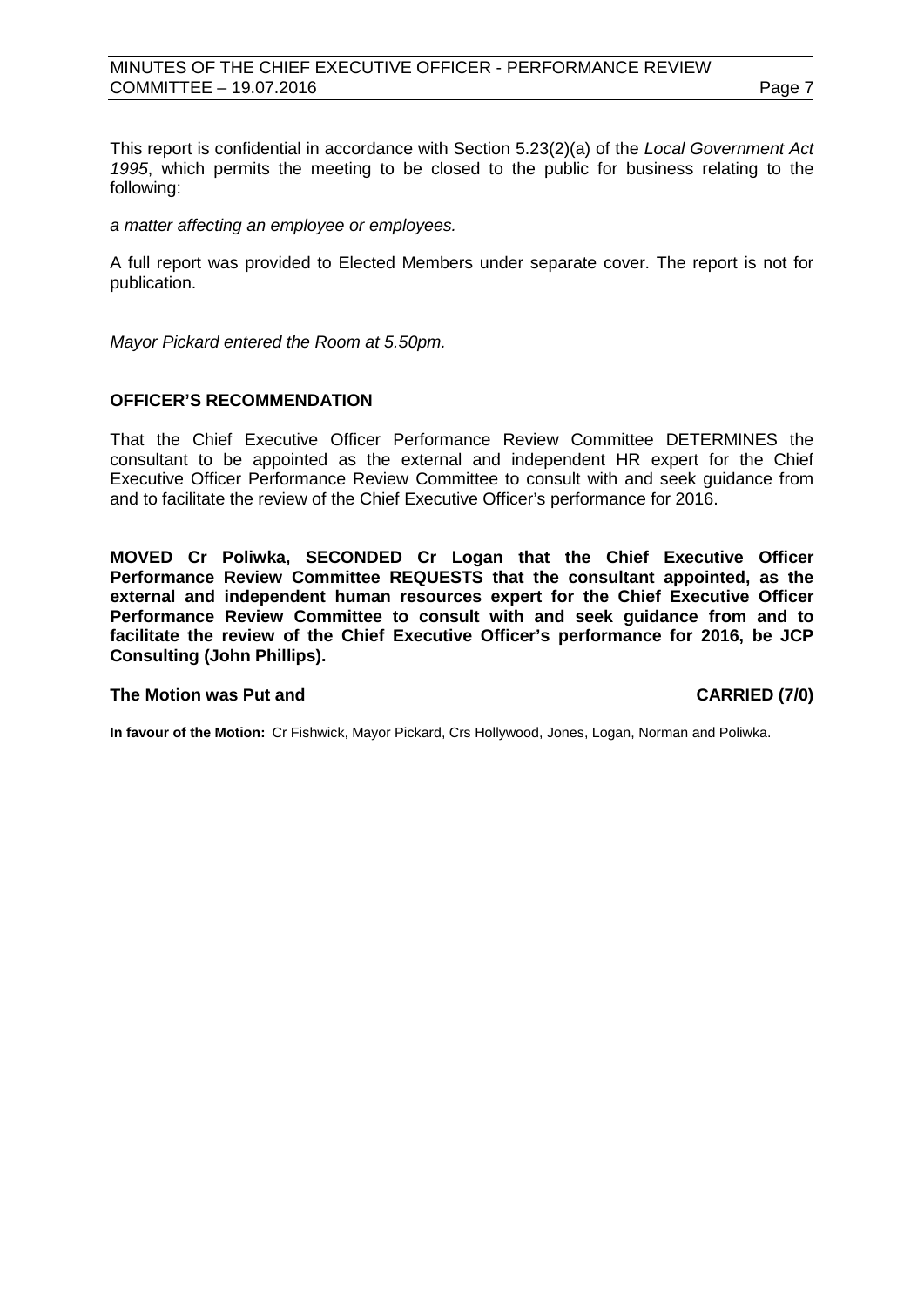# MINUTES OF THE CHIEF EXECUTIVE OFFICER - PERFORMANCE REVIEW COMMITTEE – 19.07.2016 **Page 7**

This report is confidential in accordance with Section 5.23(2)(a) of the *Local Government Act 1995*, which permits the meeting to be closed to the public for business relating to the following:

*a matter affecting an employee or employees.*

A full report was provided to Elected Members under separate cover. The report is not for publication.

*Mayor Pickard entered the Room at 5.50pm.*

# **OFFICER'S RECOMMENDATION**

That the Chief Executive Officer Performance Review Committee DETERMINES the consultant to be appointed as the external and independent HR expert for the Chief Executive Officer Performance Review Committee to consult with and seek guidance from and to facilitate the review of the Chief Executive Officer's performance for 2016.

**MOVED Cr Poliwka, SECONDED Cr Logan that the Chief Executive Officer Performance Review Committee REQUESTS that the consultant appointed, as the external and independent human resources expert for the Chief Executive Officer Performance Review Committee to consult with and seek guidance from and to facilitate the review of the Chief Executive Officer's performance for 2016, be JCP Consulting (John Phillips).**

#### **The Motion was Put and CARRIED (7/0)**

**In favour of the Motion:** Cr Fishwick, Mayor Pickard, Crs Hollywood, Jones, Logan, Norman and Poliwka.